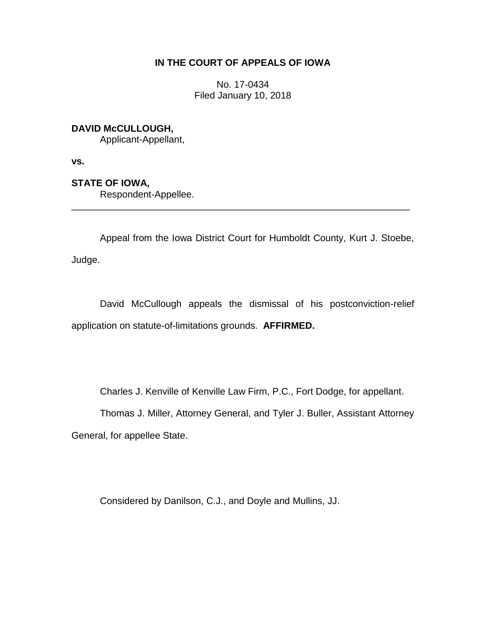## **IN THE COURT OF APPEALS OF IOWA**

No. 17-0434 Filed January 10, 2018

## **DAVID McCULLOUGH,**

Applicant-Appellant,

**vs.**

**STATE OF IOWA,**

Respondent-Appellee.

Appeal from the Iowa District Court for Humboldt County, Kurt J. Stoebe, Judge.

\_\_\_\_\_\_\_\_\_\_\_\_\_\_\_\_\_\_\_\_\_\_\_\_\_\_\_\_\_\_\_\_\_\_\_\_\_\_\_\_\_\_\_\_\_\_\_\_\_\_\_\_\_\_\_\_\_\_\_\_\_\_\_\_

David McCullough appeals the dismissal of his postconviction-relief application on statute-of-limitations grounds. **AFFIRMED.** 

Charles J. Kenville of Kenville Law Firm, P.C., Fort Dodge, for appellant.

Thomas J. Miller, Attorney General, and Tyler J. Buller, Assistant Attorney General, for appellee State.

Considered by Danilson, C.J., and Doyle and Mullins, JJ.